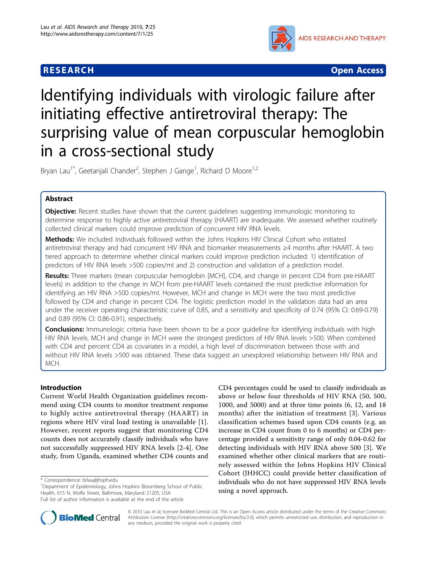# **RESEARCH CONSTRUCTED ACCESS**



# Identifying individuals with virologic failure after initiating effective antiretroviral therapy: The surprising value of mean corpuscular hemoglobin in a cross-sectional study

Bryan Lau<sup>1\*</sup>, Geetanjali Chander<sup>2</sup>, Stephen J Gange<sup>1</sup>, Richard D Moore<sup>1,2</sup>

# Abstract

**Objective:** Recent studies have shown that the current quidelines suggesting immunologic monitoring to determine response to highly active antiretroviral therapy (HAART) are inadequate. We assessed whether routinely collected clinical markers could improve prediction of concurrent HIV RNA levels.

Methods: We included individuals followed within the Johns Hopkins HIV Clinical Cohort who initiated antiretroviral therapy and had concurrent HIV RNA and biomarker measurements ≥4 months after HAART. A two tiered approach to determine whether clinical markers could improve prediction included: 1) identification of predictors of HIV RNA levels >500 copies/ml and 2) construction and validation of a prediction model.

Results: Three markers (mean corpuscular hemoglobin [MCH], CD4, and change in percent CD4 from pre-HAART levels) in addition to the change in MCH from pre-HAART levels contained the most predictive information for identifying an HIV RNA >500 copies/ml. However, MCH and change in MCH were the two most predictive followed by CD4 and change in percent CD4. The logistic prediction model in the validation data had an area under the receiver operating characteristic curve of 0.85, and a sensitivity and specificity of 0.74 (95% CI: 0.69-0.79) and 0.89 (95% CI: 0.86-0.91), respectively.

**Conclusions:** Immunologic criteria have been shown to be a poor quideline for identifying individuals with high HIV RNA levels. MCH and change in MCH were the strongest predictors of HIV RNA levels >500. When combined with CD4 and percent CD4 as covariates in a model, a high level of discrimination between those with and without HIV RNA levels >500 was obtained. These data suggest an unexplored relationship between HIV RNA and MCH.

## Introduction

Current World Health Organization guidelines recommend using CD4 counts to monitor treatment response to highly active antiretroviral therapy (HAART) in regions where HIV viral load testing is unavailable [[1](#page-5-0)]. However, recent reports suggest that monitoring CD4 counts does not accurately classify individuals who have not successfully suppressed HIV RNA levels [\[2](#page-6-0)-[4\]](#page-6-0). One study, from Uganda, examined whether CD4 counts and CD4 percentages could be used to classify individuals as above or below four thresholds of HIV RNA (50, 500, 1000, and 5000) and at three time points (6, 12, and 18 months) after the initiation of treatment [[3\]](#page-6-0). Various classification schemes based upon CD4 counts (e.g. an increase in CD4 count from 0 to 6 months) or CD4 percentage provided a sensitivity range of only 0.04-0.62 for detecting individuals with HIV RNA above 500 [\[3](#page-6-0)]. We examined whether other clinical markers that are routinely assessed within the Johns Hopkins HIV Clinical Cohort (JHHCC) could provide better classification of individuals who do not have suppressed HIV RNA levels using a novel approach.



© 2010 Lau et al; licensee BioMed Central Ltd. This is an Open Access article distributed under the terms of the Creative Commons Attribution License [\(http://creativecommons.org/licenses/by/2.0](http://creativecommons.org/licenses/by/2.0)), which permits unrestricted use, distribution, and reproduction in any medium, provided the original work is properly cited.

<sup>\*</sup> Correspondence: [brlau@jhsph.edu](mailto:brlau@jhsph.edu)

<sup>&</sup>lt;sup>1</sup>Department of Epidemiology, Johns Hopkins Bloomberg School of Public Health, 615 N. Wolfe Street, Baltimore, Maryland 21205, USA Full list of author information is available at the end of the article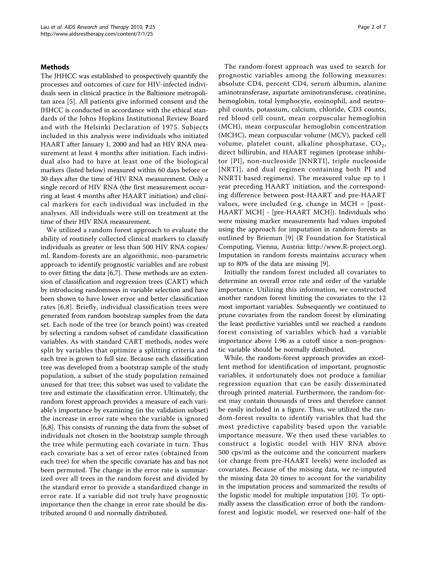### Methods

The JHHCC was established to prospectively quantify the processes and outcomes of care for HIV-infected individuals seen in clinical practice in the Baltimore metropolitan area [[5\]](#page-6-0). All patients give informed consent and the JHHCC is conducted in accordance with the ethical standards of the Johns Hopkins Institutional Review Board and with the Helsinki Declaration of 1975. Subjects included in this analysis were individuals who initiated HAART after January 1, 2000 and had an HIV RNA measurement at least 4 months after initiation. Each individual also had to have at least one of the biological markers (listed below) measured within 60 days before or 30 days after the time of HIV RNA measurement. Only a single record of HIV RNA (the first measurement occurring at least 4 months after HAART initiation) and clinical markers for each individual was included in the analyses. All individuals were still on treatment at the time of their HIV RNA measurement.

We utilized a random forest approach to evaluate the ability of routinely collected clinical markers to classify individuals as greater or less than 500 HIV RNA copies/ ml. Random-forests are an algorithmic, non-parametric approach to identify prognostic variables and are robust to over fitting the data [\[6,7\]](#page-6-0). These methods are an extension of classification and regression trees (CART) which by introducing randomness in variable selection and have been shown to have lower error and better classification rates [[6](#page-6-0),[8](#page-6-0)]. Briefly, individual classification trees were generated from random bootstrap samples from the data set. Each node of the tree (or branch point) was created by selecting a random subset of candidate classification variables. As with standard CART methods, nodes were split by variables that optimize a splitting criteria and each tree is grown to full size. Because each classification tree was developed from a bootstrap sample of the study population, a subset of the study population remained unused for that tree; this subset was used to validate the tree and estimate the classification error. Ultimately, the random forest approach provides a measure of each variable's importance by examining (in the validation subset) the increase in error rate when the variable is ignored [[6,8\]](#page-6-0). This consists of running the data from the subset of individuals not chosen in the bootstrap sample through the tree while permuting each covariate in turn. Thus each covariate has a set of error rates (obtained from each tree) for when the specific covariate has and has not been permuted. The change in the error rate is summarized over all trees in the random forest and divided by the standard error to provide a standardized change in error rate. If a variable did not truly have prognostic importance then the change in error rate should be distributed around 0 and normally distributed.

The random-forest approach was used to search for prognostic variables among the following measures: absolute CD4, percent CD4, serum albumin, alanine aminotransferase, aspartate aminotransferase, creatinine, hemoglobin, total lymphocyte, eosinophil, and neutrophil counts, potassium, calcium, chloride, CD3 counts, red blood cell count, mean corpuscular hemoglobin (MCH), mean corpuscular hemoglobin concentration (MCHC), mean corpuscular volume (MCV), packed cell volume, platelet count, alkaline phosphatase,  $CO<sub>2</sub>$ , direct billirubin, and HAART regimen (protease inhibitor [PI], non-nucleoside [NNRTI], triple nucleoside [NRTI], and dual regimen containing both PI and NNRTI based regimens). The measured value up to 1 year preceding HAART initiation, and the corresponding difference between post-HAART and pre-HAART values, were included (e.g. change in MCH = [post-HAART MCH] - [pre-HAART MCH]). Individuals who were missing marker measurements had values imputed using the approach for imputation in random-forests as outlined by Brieman [\[9\]](#page-6-0) (R Foundation for Statistical Computing, Vienna, Austria:<http://www.R-project.org>). Imputation in random forests maintains accuracy when up to 80% of the data are missing [\[9](#page-6-0)].

Initially the random forest included all covariates to determine an overall error rate and order of the variable importance. Utilizing this information, we constructed another random forest limiting the covariates to the 12 most important variables. Subsequently we continued to prune covariates from the random forest by eliminating the least predictive variables until we reached a random forest consisting of variables which had a variable importance above 1.96 as a cutoff since a non-prognostic variable should be normally distributed.

While, the random-forest approach provides an excellent method for identification of important, prognostic variables, it unfortunately does not produce a familiar regression equation that can be easily disseminated through printed material. Furthermore, the random-forest may contain thousands of trees and therefore cannot be easily included in a figure. Thus, we utilized the random-forest results to identify variables that had the most predictive capability based upon the variable importance measure. We then used these variables to construct a logistic model with HIV RNA above 500 cps/ml as the outcome and the concurrent markers (or change from pre-HAART levels) were included as covariates. Because of the missing data, we re-imputed the missing data 20 times to account for the variability in the imputation process and summarized the results of the logistic model for multiple imputation [[10](#page-6-0)]. To optimally assess the classification error of both the randomforest and logistic model, we reserved one-half of the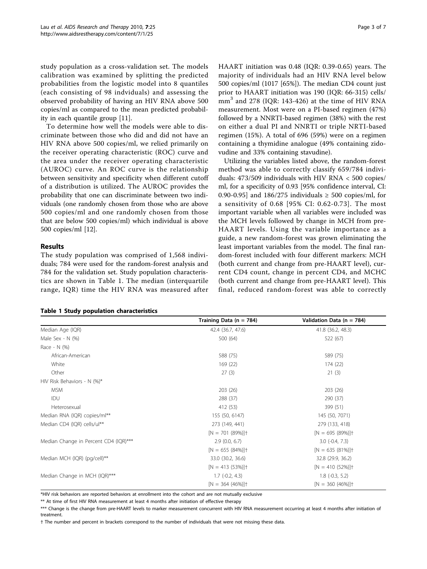study population as a cross-validation set. The models calibration was examined by splitting the predicted probabilities from the logistic model into 8 quantiles (each consisting of 98 indviduals) and assessing the observed probability of having an HIV RNA above 500 copies/ml as compared to the mean predicted probability in each quantile group [\[11](#page-6-0)].

To determine how well the models were able to discriminate between those who did and did not have an HIV RNA above 500 copies/ml, we relied primarily on the receiver operating characteristic (ROC) curve and the area under the receiver operating characteristic (AUROC) curve. An ROC curve is the relationship between sensitivity and specificity when different cutoff of a distribution is utilized. The AUROC provides the probability that one can discriminate between two individuals (one randomly chosen from those who are above 500 copies/ml and one randomly chosen from those that are below 500 copies/ml) which individual is above 500 copies/ml [[12](#page-6-0)].

## Results

The study population was comprised of 1,568 individuals; 784 were used for the random-forest analysis and 784 for the validation set. Study population characteristics are shown in Table 1. The median (interquartile range, IQR) time the HIV RNA was measured after HAART initiation was 0.48 (IQR: 0.39-0.65) years. The majority of individuals had an HIV RNA level below 500 copies/ml (1017 [65%]). The median CD4 count just prior to HAART initiation was 190 (IQR: 66-315) cells/  $mm<sup>3</sup>$  and 278 (IQR: 143-426) at the time of HIV RNA measurement. Most were on a PI-based regimen (47%) followed by a NNRTI-based regimen (38%) with the rest on either a dual PI and NNRTI or triple NRTI-based regimen (15%). A total of 696 (59%) were on a regimen containing a thymidine analogue (49% containing zidovudine and 33% containing stavudine).

Utilizing the variables listed above, the random-forest method was able to correctly classify 659/784 individuals: 473/509 individuals with HIV RNA < 500 copies/ ml, for a specificity of 0.93 [95% confidence interval, CI: 0.90-0.95] and  $186/275$  individuals  $\geq 500$  copies/ml, for a sensitivity of 0.68 [95% CI: 0.62-0.73]. The most important variable when all variables were included was the MCH levels followed by change in MCH from pre-HAART levels. Using the variable importance as a guide, a new random-forest was grown eliminating the least important variables from the model. The final random-forest included with four different markers: MCH (both current and change from pre-HAART level), current CD4 count, change in percent CD4, and MCHC (both current and change from pre-HAART level). This final, reduced random-forest was able to correctly

#### Table 1 Study population characteristics

|                                       | Training Data ( $n = 784$ ) | Validation Data ( $n = 784$ ) |
|---------------------------------------|-----------------------------|-------------------------------|
| Median Age (IQR)                      | 42.4 (36.7, 47.6)           | 41.8 (36.2, 48.3)             |
| Male Sex - $N$ (%)                    | 500 (64)                    | 522 (67)                      |
| Race - $N$ (%)                        |                             |                               |
| African-American                      | 588 (75)                    | 589 (75)                      |
| White                                 | 169 (22)                    | 174 (22)                      |
| Other                                 | 27(3)                       | 21(3)                         |
| HIV Risk Behaviors - N (%)*           |                             |                               |
| <b>MSM</b>                            | 203 (26)                    | 203(26)                       |
| IDU                                   | 288 (37)                    | 290 (37)                      |
| Heterosexual                          | 412 (53)                    | 399 (51)                      |
| Median RNA (IQR) copies/ml**          | 155 (50, 6147)              | 145 (50, 7071)                |
| Median CD4 (IQR) cells/ul**           | 273 (149, 441)              | 279 (133, 418)                |
|                                       | $[N = 701 (89%)]$           | $[N = 695 (89%)]$             |
| Median Change in Percent CD4 (IQR)*** | 2.9(0.0, 6.7)               | $3.0$ (-0.4, 7.3)             |
|                                       | $[N = 655 (84%)]$           | $[N = 635 (81\%)]$            |
| Median MCH (IQR) (pg/cell)**          | 33.0 (30.2, 36.6)           | 32.8 (29.9, 36.2)             |
|                                       | $[N = 413 (53%)]$           | $[N = 410 (52\%)]$            |
| Median Change in MCH (IQR)***         | $1.7$ (-0.2, 4.3)           | $1.8(-0.3, 5.2)$              |
|                                       | $[N = 364 (46\%)]$          | $[N = 360 (46\%)]$            |

\*HIV risk behaviors are reported behaviors at enrollment into the cohort and are not mutually exclusive

\*\* At time of first HIV RNA measurement at least 4 months after initiation of effective therapy

\*\*\* Change is the change from pre-HAART levels to marker measurement concurrent with HIV RNA measurement occurring at least 4 months after initiation of treatment.

† The number and percent in brackets correspond to the number of individuals that were not missing these data.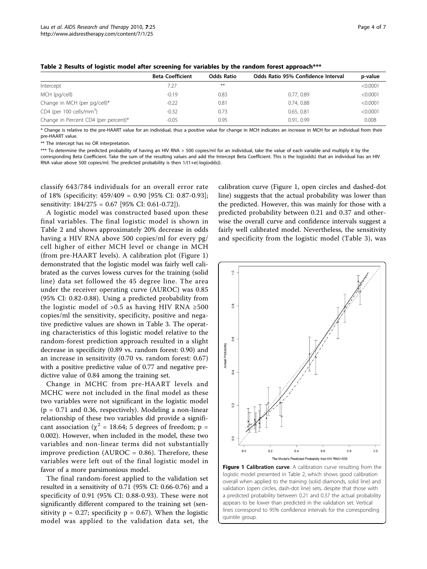|                                        | <b>Beta Coefficient</b> | <b>Odds Ratio</b> | Odds Ratio 95% Confidence Interval | p-value  |
|----------------------------------------|-------------------------|-------------------|------------------------------------|----------|
| Intercept                              | 7.27                    | $***$             |                                    | < 0.0001 |
| MCH (pg/cell)                          | $-0.19$                 | 0.83              | 0.77.0.89                          | < 0.0001 |
| Change in MCH (per pg/cell)*           | $-0.22$                 | 0.81              | 0.74.0.88                          | < 0.0001 |
| $CD4$ (per 100 cells/mm <sup>3</sup> ) | $-0.32$                 | 0.73              | 0.65.0.81                          | < 0.0001 |
| Change in Percent CD4 (per percent)*   | $-0.05$                 | 0.95              | 0.91.0.99                          | 0.008    |

<span id="page-3-0"></span>Table 2 Results of logistic model after screening for variables by the random forest approach\*\*\*

\* Change is relative to the pre-HAART value for an individual, thus a positive value for change in MCH indicates an increase in MCH for an individual from their pre-HAART value.

\*\* The intercept has no OR interpretation.

\*\*\* To determine the predicted probability of having an HIV RNA > 500 copies/ml for an individual, take the value of each variable and multiply it by the corresponding Beta Coefficient. Take the sum of the resulting values and add the Intercept Beta Coefficient. This is the log(odds) that an individual has an HIV RNA value above 500 copies/ml. The predicted probability is then 1/(1+e(-log(odds)).

classify 643/784 individuals for an overall error rate of 18% (specificity: 459/409 = 0.90 [95% CI: 0.87-0.93]; sensitivity: 184/275 = 0.67 [95% CI: 0.61-0.72]).

A logistic model was constructed based upon these final variables. The final logistic model is shown in Table 2 and shows approximately 20% decrease in odds having a HIV RNA above 500 copies/ml for every pg/ cell higher of either MCH level or change in MCH (from pre-HAART levels). A calibration plot (Figure 1) demonstrated that the logistic model was fairly well calibrated as the curves lowess curves for the training (solid line) data set followed the 45 degree line. The area under the receiver operating curve (AUROC) was 0.85 (95% CI: 0.82-0.88). Using a predicted probability from the logistic model of >0.5 as having HIV RNA  $\geq 500$ copies/ml the sensitivity, specificity, positive and negative predictive values are shown in Table [3.](#page-4-0) The operating characteristics of this logistic model relative to the random-forest prediction approach resulted in a slight decrease in specificity (0.89 vs. random forest: 0.90) and an increase in sensitivity (0.70 vs. random forest: 0.67) with a positive predictive value of 0.77 and negative predictive value of 0.84 among the training set.

Change in MCHC from pre-HAART levels and MCHC were not included in the final model as these two variables were not significant in the logistic model  $(p = 0.71$  and 0.36, respectively). Modeling a non-linear relationship of these two variables did provide a significant association ( $\chi^2$  = 18.64; 5 degrees of freedom; p = 0.002). However, when included in the model, these two variables and non-linear terms did not substantially improve prediction ( $AUROC = 0.86$ ). Therefore, these variables were left out of the final logistic model in favor of a more parsimonious model.

The final random-forest applied to the validation set resulted in a sensitivity of 0.71 (95% CI: 0.66-0.76) and a specificity of 0.91 (95% CI: 0.88-0.93). These were not significantly different compared to the training set (sensitivity  $p = 0.27$ ; specificity  $p = 0.67$ ). When the logistic model was applied to the validation data set, the

calibration curve (Figure 1, open circles and dashed-dot line) suggests that the actual probability was lower than the predicted. However, this was mainly for those with a predicted probability between 0.21 and 0.37 and otherwise the overall curve and confidence intervals suggest a fairly well calibrated model. Nevertheless, the sensitivity and specificity from the logistic model (Table [3\)](#page-4-0), was



Figure 1 Calibration curve. A calibration curve resulting from the logistic model presented in Table 2, which shows good calibration overall when applied to the training (solid diamonds, solid line) and validation (open circles, dash-dot line) sets, despite that those with a predicted probability between 0.21 and 0.37 the actual probability appears to be lower than predicted in the validation set. Vertical lines correspond to 95% confidence intervals for the corresponding quintile group.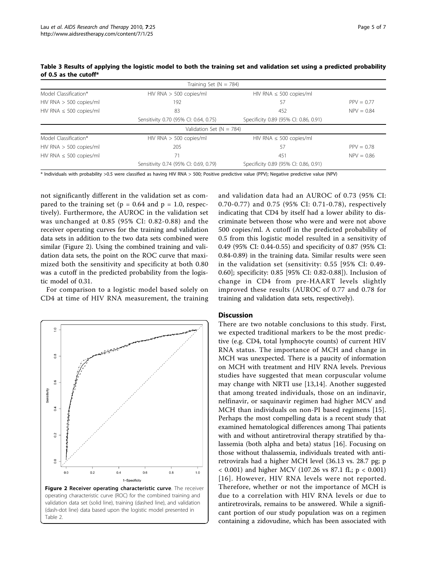| Training Set $(N = 784)$       |                                       |                                       |              |  |  |
|--------------------------------|---------------------------------------|---------------------------------------|--------------|--|--|
| Model Classification*          | $HIV$ RNA $>$ 500 copies/ml           | HIV RNA $\leq$ 500 copies/ml          |              |  |  |
| $HIV$ RNA $>$ 500 copies/ml    | 192                                   | 57                                    | $PPV = 0.77$ |  |  |
| $HIV$ RNA $\leq$ 500 copies/ml | 83                                    | 452                                   | $NPV = 0.84$ |  |  |
|                                | Sensitivity 0.70 (95% CI: 0.64, 0.75) | Specificity 0.89 (95% CI: 0.86, 0.91) |              |  |  |
|                                | Validation Set ( $N = 784$ )          |                                       |              |  |  |
| Model Classification*          | $HIV$ RNA $>$ 500 copies/ml           | HIV RNA $\leq$ 500 copies/ml          |              |  |  |
| HIV RNA > 500 copies/ml        | 205                                   | 57                                    | $PPV = 0.78$ |  |  |
| $HIV$ RNA $\leq$ 500 copies/ml | 71                                    | 451                                   | $NPV = 0.86$ |  |  |
|                                | Sensitivity 0.74 (95% CI: 0.69, 0.79) | Specificity 0.89 (95% CI: 0.86, 0.91) |              |  |  |

<span id="page-4-0"></span>Table 3 Results of applying the logistic model to both the training set and validation set using a predicted probability of 0.5 as the cutoff\*

\* Individuals with probability >0.5 were classified as having HIV RNA > 500; Positive predictive value (PPV); Negative predictive value (NPV)

not significantly different in the validation set as compared to the training set ( $p = 0.64$  and  $p = 1.0$ , respectively). Furthermore, the AUROC in the validation set was unchanged at 0.85 (95% CI: 0.82-0.88) and the receiver operating curves for the training and validation data sets in addition to the two data sets combined were similar (Figure 2). Using the combined training and validation data sets, the point on the ROC curve that maximized both the sensitivity and specificity at both 0.80 was a cutoff in the predicted probability from the logistic model of 0.31.

For comparison to a logistic model based solely on CD4 at time of HIV RNA measurement, the training



and validation data had an AUROC of 0.73 (95% CI: 0.70-0.77) and 0.75 (95% CI: 0.71-0.78), respectively indicating that CD4 by itself had a lower ability to discriminate between those who were and were not above 500 copies/ml. A cutoff in the predicted probability of 0.5 from this logistic model resulted in a sensitivity of 0.49 (95% CI: 0.44-0.55) and specificity of 0.87 (95% CI: 0.84-0.89) in the training data. Similar results were seen in the validation set (sensitivity: 0.55 [95% CI: 0.49- 0.60]; specificity: 0.85 [95% CI: 0.82-0.88]). Inclusion of change in CD4 from pre-HAART levels slightly improved these results (AUROC of 0.77 and 0.78 for training and validation data sets, respectively).

#### **Discussion**

There are two notable conclusions to this study. First, we expected traditional markers to be the most predictive (e.g. CD4, total lymphocyte counts) of current HIV RNA status. The importance of MCH and change in MCH was unexpected. There is a paucity of information on MCH with treatment and HIV RNA levels. Previous studies have suggested that mean corpuscular volume may change with NRTI use [\[13](#page-6-0),[14\]](#page-6-0). Another suggested that among treated individuals, those on an indinavir, nelfinavir, or saquinavir regimen had higher MCV and MCH than individuals on non-PI based regimens [[15](#page-6-0)]. Perhaps the most compelling data is a recent study that examined hematological differences among Thai patients with and without antiretroviral therapy stratified by thalassemia (both alpha and beta) status [\[16](#page-6-0)]. Focusing on those without thalassemia, individuals treated with antiretrovirals had a higher MCH level (36.13 vs. 28.7 pg; p < 0.001) and higher MCV (107.26 vs 87.1 fL; p < 0.001) [[16](#page-6-0)]. However, HIV RNA levels were not reported. Therefore, whether or not the importance of MCH is due to a correlation with HIV RNA levels or due to antiretrovirals, remains to be answered. While a significant portion of our study population was on a regimen containing a zidovudine, which has been associated with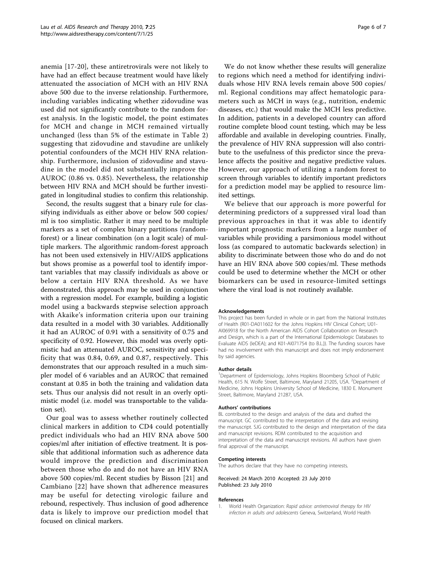<span id="page-5-0"></span>anemia [[17-20\]](#page-6-0), these antiretrovirals were not likely to have had an effect because treatment would have likely attenuated the association of MCH with an HIV RNA above 500 due to the inverse relationship. Furthermore, including variables indicating whether zidovudine was used did not significantly contribute to the random forest analysis. In the logistic model, the point estimates for MCH and change in MCH remained virtually unchanged (less than 5% of the estimate in Table [2](#page-3-0)) suggesting that zidovudine and stavudine are unlikely potential confounders of the MCH HIV RNA relationship. Furthermore, inclusion of zidovudine and stavudine in the model did not substantially improve the AUROC (0.86 vs. 0.85). Nevertheless, the relationship between HIV RNA and MCH should be further investigated in longitudinal studies to confirm this relationship.

Second, the results suggest that a binary rule for classifying individuals as either above or below 500 copies/ ml is too simplistic. Rather it may need to be multiple markers as a set of complex binary partitions (randomforest) or a linear combination (on a logit scale) of multiple markers. The algorithmic random-forest approach has not been used extensively in HIV/AIDS applications but shows promise as a powerful tool to identify important variables that may classify individuals as above or below a certain HIV RNA threshold. As we have demonstrated, this approach may be used in conjunction with a regression model. For example, building a logistic model using a backwards stepwise selection approach with Akaike's information criteria upon our training data resulted in a model with 30 variables. Additionally it had an AUROC of 0.91 with a sensitivity of 0.75 and specificity of 0.92. However, this model was overly optimistic had an attenuated AUROC, sensitivity and specificity that was 0.84, 0.69, and 0.87, respectively. This demonstrates that our approach resulted in a much simpler model of 6 variables and an AUROC that remained constant at 0.85 in both the training and validation data sets. Thus our analysis did not result in an overly optimistic model (i.e. model was transportable to the validation set).

Our goal was to assess whether routinely collected clinical markers in addition to CD4 could potentially predict individuals who had an HIV RNA above 500 copies/ml after initiation of effective treatment. It is possible that additional information such as adherence data would improve the prediction and discrimination between those who do and do not have an HIV RNA above 500 copies/ml. Recent studies by Bisson [[21\]](#page-6-0) and Cambiano [[22\]](#page-6-0) have shown that adherence measures may be useful for detecting virologic failure and rebound, respectively. Thus inclusion of good adherence data is likely to improve our prediction model that focused on clinical markers.

We do not know whether these results will generalize to regions which need a method for identifying individuals whose HIV RNA levels remain above 500 copies/ ml. Regional conditions may affect hematologic parameters such as MCH in ways (e.g., nutrition, endemic diseases, etc.) that would make the MCH less predictive. In addition, patients in a developed country can afford routine complete blood count testing, which may be less affordable and available in developing countries. Finally, the prevalence of HIV RNA suppression will also contribute to the usefulness of this predictor since the prevalence affects the positive and negative predictive values. However, our approach of utilizing a random forest to screen through variables to identify important predictors for a prediction model may be applied to resource limited settings.

We believe that our approach is more powerful for determining predictors of a suppressed viral load than previous approaches in that it was able to identify important prognostic markers from a large number of variables while providing a parsimonious model without loss (as compared to automatic backwards selection) in ability to discriminate between those who do and do not have an HIV RNA above 500 copies/ml. These methods could be used to determine whether the MCH or other biomarkers can be used in resource-limited settings where the viral load is not routinely available.

#### Acknowledgements

This project has been funded in whole or in part from the National Institutes of Health (R01-DA011602 for the Johns Hopkins HIV Clinical Cohort; U01- AI069918 for the North American AIDS Cohort Collaboration on Research and Design, which is a part of the International Epidemiologic Databases to Evaluate AIDS (IeDEA); and K01-AI071754 (to B.L.)). The funding sources have had no involvement with this manuscript and does not imply endorsement by said agencies.

#### Author details

<sup>1</sup>Department of Epidemiology, Johns Hopkins Bloomberg School of Public Health, 615 N. Wolfe Street, Baltimore, Maryland 21205, USA. <sup>2</sup>Department of Medicine, Johns Hopkins University School of Medicine, 1830 E. Monument Street, Baltimore, Maryland 21287, USA.

#### Authors' contributions

BL contributed to the design and analysis of the data and drafted the manuscript. GC contributed to the interpretation of the data and revising the manuscript. SJG contributed to the design and interpretation of the data and manuscript revisions. RDM contributed to the acquisition and interpretation of the data and manuscript revisions. All authors have given final approval of the manuscript.

#### Competing interests

The authors declare that they have no competing interests.

Received: 24 March 2010 Accepted: 23 July 2010 Published: 23 July 2010

#### References

1. World Health Organization: Rapid advice: antiretroviral therapy for HIV infection in adults and adolescents Geneva, Switzerland, World Health